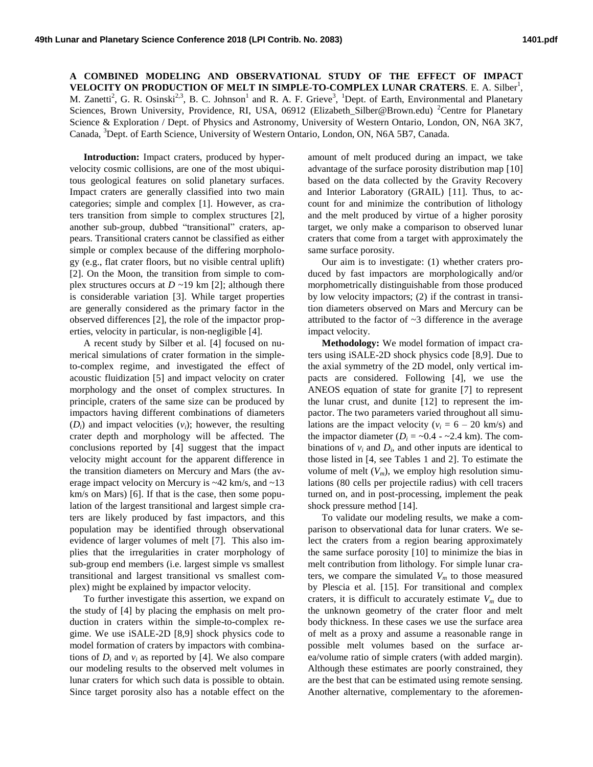**A COMBINED MODELING AND OBSERVATIONAL STUDY OF THE EFFECT OF IMPACT VELOCITY ON PRODUCTION OF MELT IN SIMPLE-TO-COMPLEX LUNAR CRATERS.** E. A. Silber<sup>1</sup>, M. Zanetti<sup>2</sup>, G. R. Osinski<sup>2,3</sup>, B. C. Johnson<sup>1</sup> and R. A. F. Grieve<sup>3</sup>, <sup>1</sup>Dept. of Earth, Environmental and Planetary Sciences, Brown University, Providence, RI, USA, 06912 (Elizabeth\_Silber@Brown.edu) <sup>2</sup>Centre for Planetary Science & Exploration / Dept. of Physics and Astronomy, University of Western Ontario, London, ON, N6A 3K7, Canada, <sup>3</sup>Dept. of Earth Science, University of Western Ontario, London, ON, N6A 5B7, Canada.

**Introduction:** Impact craters, produced by hypervelocity cosmic collisions, are one of the most ubiquitous geological features on solid planetary surfaces. Impact craters are generally classified into two main categories; simple and complex [1]. However, as craters transition from simple to complex structures [2], another sub-group, dubbed "transitional" craters, appears. Transitional craters cannot be classified as either simple or complex because of the differing morphology (e.g., flat crater floors, but no visible central uplift) [2]. On the Moon, the transition from simple to complex structures occurs at  $D \sim 19$  km [2]; although there is considerable variation [3]. While target properties are generally considered as the primary factor in the observed differences [2], the role of the impactor properties, velocity in particular, is non-negligible [4].

A recent study by Silber et al. [4] focused on numerical simulations of crater formation in the simpleto-complex regime, and investigated the effect of acoustic fluidization [5] and impact velocity on crater morphology and the onset of complex structures. In principle, craters of the same size can be produced by impactors having different combinations of diameters  $(D_i)$  and impact velocities  $(v_i)$ ; however, the resulting crater depth and morphology will be affected. The conclusions reported by [4] suggest that the impact velocity might account for the apparent difference in the transition diameters on Mercury and Mars (the average impact velocity on Mercury is ~42 km/s, and ~13 km/s on Mars) [6]. If that is the case, then some population of the largest transitional and largest simple craters are likely produced by fast impactors, and this population may be identified through observational evidence of larger volumes of melt [7]. This also implies that the irregularities in crater morphology of sub-group end members (i.e. largest simple vs smallest transitional and largest transitional vs smallest complex) might be explained by impactor velocity.

To further investigate this assertion, we expand on the study of [4] by placing the emphasis on melt production in craters within the simple-to-complex regime. We use iSALE-2D [8,9] shock physics code to model formation of craters by impactors with combinations of  $D_i$  and  $v_i$  as reported by [4]. We also compare our modeling results to the observed melt volumes in lunar craters for which such data is possible to obtain. Since target porosity also has a notable effect on the

amount of melt produced during an impact, we take advantage of the surface porosity distribution map [10] based on the data collected by the Gravity Recovery and Interior Laboratory (GRAIL) [11]. Thus, to account for and minimize the contribution of lithology and the melt produced by virtue of a higher porosity target, we only make a comparison to observed lunar craters that come from a target with approximately the same surface porosity.

Our aim is to investigate: (1) whether craters produced by fast impactors are morphologically and/or morphometrically distinguishable from those produced by low velocity impactors; (2) if the contrast in transition diameters observed on Mars and Mercury can be attributed to the factor of  $\sim$ 3 difference in the average impact velocity.

**Methodology:** We model formation of impact craters using iSALE-2D shock physics code [8,9]. Due to the axial symmetry of the 2D model, only vertical impacts are considered. Following [4], we use the ANEOS equation of state for granite [7] to represent the lunar crust, and dunite [12] to represent the impactor. The two parameters varied throughout all simulations are the impact velocity ( $v_i = 6 - 20$  km/s) and the impactor diameter  $(D_i = -0.4 - 2.4 \text{ km})$ . The combinations of  $v_i$  and  $D_i$ , and other inputs are identical to those listed in [4, see Tables 1 and 2]. To estimate the volume of melt  $(V_m)$ , we employ high resolution simulations (80 cells per projectile radius) with cell tracers turned on, and in post-processing, implement the peak shock pressure method [14].

To validate our modeling results, we make a comparison to observational data for lunar craters. We select the craters from a region bearing approximately the same surface porosity [10] to minimize the bias in melt contribution from lithology. For simple lunar craters, we compare the simulated  $V_m$  to those measured by Plescia et al. [15]. For transitional and complex craters, it is difficult to accurately estimate  $V_m$  due to the unknown geometry of the crater floor and melt body thickness. In these cases we use the surface area of melt as a proxy and assume a reasonable range in possible melt volumes based on the surface area/volume ratio of simple craters (with added margin). Although these estimates are poorly constrained, they are the best that can be estimated using remote sensing. Another alternative, complementary to the aforemen